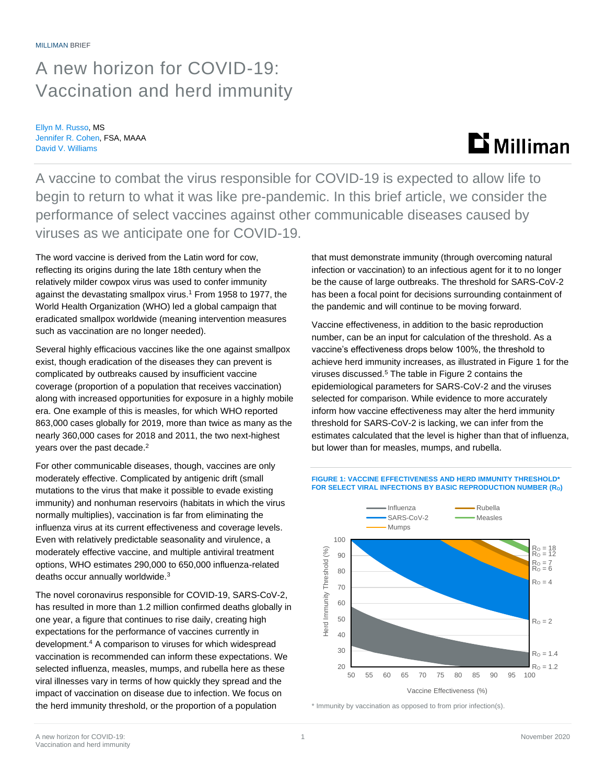### A new horizon for COVID-19: Vaccination and herd immunity

Ellyn M. Russo, MS Jennifer R. Cohen, FSA, MAAA David V. Williams

# $\mathbf{D}$  Milliman

A vaccine to combat the virus responsible for COVID-19 is expected to allow life to begin to return to what it was like pre-pandemic. In this brief article, we consider the performance of select vaccines against other communicable diseases caused by viruses as we anticipate one for COVID-19.

The word vaccine is derived from the Latin word for cow, reflecting its origins during the late 18th century when the relatively milder cowpox virus was used to confer immunity against the devastating smallpox virus.<sup>1</sup> From 1958 to 1977, the World Health Organization (WHO) led a global campaign that eradicated smallpox worldwide (meaning intervention measures such as vaccination are no longer needed).

Several highly efficacious vaccines like the one against smallpox exist, though eradication of the diseases they can prevent is complicated by outbreaks caused by insufficient vaccine coverage (proportion of a population that receives vaccination) along with increased opportunities for exposure in a highly mobile era. One example of this is measles, for which WHO reported 863,000 cases globally for 2019, more than twice as many as the nearly 360,000 cases for 2018 and 2011, the two next-highest years over the past decade.<sup>2</sup>

For other communicable diseases, though, vaccines are only moderately effective. Complicated by antigenic drift (small mutations to the virus that make it possible to evade existing immunity) and nonhuman reservoirs (habitats in which the virus normally multiplies), vaccination is far from eliminating the influenza virus at its current effectiveness and coverage levels. Even with relatively predictable seasonality and virulence, a moderately effective vaccine, and multiple antiviral treatment options, WHO estimates 290,000 to 650,000 influenza-related deaths occur annually worldwide.<sup>3</sup>

The novel coronavirus responsible for COVID-19, SARS-CoV-2, has resulted in more than 1.2 million confirmed deaths globally in one year, a figure that continues to rise daily, creating high expectations for the performance of vaccines currently in development.<sup>4</sup> A comparison to viruses for which widespread vaccination is recommended can inform these expectations. We selected influenza, measles, mumps, and rubella here as these viral illnesses vary in terms of how quickly they spread and the impact of vaccination on disease due to infection. We focus on the herd immunity threshold, or the proportion of a population

that must demonstrate immunity (through overcoming natural infection or vaccination) to an infectious agent for it to no longer be the cause of large outbreaks. The threshold for SARS-CoV-2 has been a focal point for decisions surrounding containment of the pandemic and will continue to be moving forward.

Vaccine effectiveness, in addition to the basic reproduction number, can be an input for calculation of the threshold. As a vaccine's effectiveness drops below 100%, the threshold to achieve herd immunity increases, as illustrated in Figure 1 for the viruses discussed.<sup>5</sup> The table in Figure 2 contains the epidemiological parameters for SARS-CoV-2 and the viruses selected for comparison. While evidence to more accurately inform how vaccine effectiveness may alter the herd immunity threshold for SARS-CoV-2 is lacking, we can infer from the estimates calculated that the level is higher than that of influenza, but lower than for measles, mumps, and rubella.





\* Immunity by vaccination as opposed to from prior infection(s).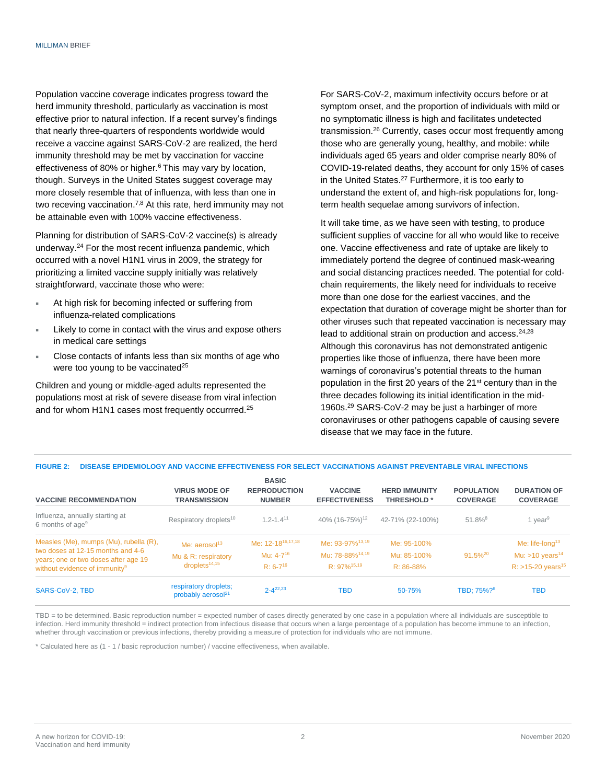Population vaccine coverage indicates progress toward the herd immunity threshold, particularly as vaccination is most effective prior to natural infection. If a recent survey's findings that nearly three-quarters of respondents worldwide would receive a vaccine against SARS-CoV-2 are realized, the herd immunity threshold may be met by vaccination for vaccine effectiveness of 80% or higher.<sup>6</sup> This may vary by location, though. Surveys in the United States suggest coverage may more closely resemble that of influenza, with less than one in two receving vaccination.7,8 At this rate, herd immunity may not be attainable even with 100% vaccine effectiveness.

Planning for distribution of SARS-CoV-2 vaccine(s) is already underway.<sup>24</sup> For the most recent influenza pandemic, which occurred with a novel H1N1 virus in 2009, the strategy for prioritizing a limited vaccine supply initially was relatively straightforward, vaccinate those who were:

- At high risk for becoming infected or suffering from influenza-related complications
- Likely to come in contact with the virus and expose others in medical care settings
- Close contacts of infants less than six months of age who were too young to be vaccinated $25$

Children and young or middle-aged adults represented the populations most at risk of severe disease from viral infection and for whom H1N1 cases most frequently occurrred.<sup>25</sup>

For SARS-CoV-2, maximum infectivity occurs before or at symptom onset, and the proportion of individuals with mild or no symptomatic illness is high and facilitates undetected transmission.<sup>26</sup> Currently, cases occur most frequently among those who are generally young, healthy, and mobile: while individuals aged 65 years and older comprise nearly 80% of COVID-19-related deaths, they account for only 15% of cases in the United States.<sup>27</sup> Furthermore, it is too early to understand the extent of, and high-risk populations for, longterm health sequelae among survivors of infection.

It will take time, as we have seen with testing, to produce sufficient supplies of vaccine for all who would like to receive one. Vaccine effectiveness and rate of uptake are likely to immediately portend the degree of continued mask-wearing and social distancing practices needed. The potential for coldchain requirements, the likely need for individuals to receive more than one dose for the earliest vaccines, and the expectation that duration of coverage might be shorter than for other viruses such that repeated vaccination is necessary may lead to additional strain on production and access.<sup>24,28</sup> Although this coronavirus has not demonstrated antigenic properties like those of influenza, there have been more warnings of coronavirus's potential threats to the human population in the first 20 years of the 21<sup>st</sup> century than in the three decades following its initial identification in the mid-1960s.<sup>29</sup> SARS-CoV-2 may be just a harbinger of more coronaviruses or other pathogens capable of causing severe disease that we may face in the future.

### **FIGURE 2: DISEASE EPIDEMIOLOGY AND VACCINE EFFECTIVENESS FOR SELECT VACCINATIONS AGAINST PREVENTABLE VIRAL INFECTIONS**

| <b>VACCINE RECOMMENDATION</b>                                                                                                                                    | <b>VIRUS MODE OF</b><br><b>TRANSMISSION</b>                         | <b>BASIC</b><br><b>REPRODUCTION</b><br><b>NUMBER</b>             | <b>VACCINE</b><br><b>EFFECTIVENESS</b>                                                        | <b>HERD IMMUNITY</b><br><b>THRESHOLD*</b> | <b>POPULATION</b><br><b>COVERAGE</b> | <b>DURATION OF</b><br><b>COVERAGE</b>                                                           |
|------------------------------------------------------------------------------------------------------------------------------------------------------------------|---------------------------------------------------------------------|------------------------------------------------------------------|-----------------------------------------------------------------------------------------------|-------------------------------------------|--------------------------------------|-------------------------------------------------------------------------------------------------|
| Influenza, annually starting at<br>6 months of age <sup>9</sup>                                                                                                  | Respiratory droplets <sup>10</sup>                                  | $1.2 - 1.4$ <sup>11</sup>                                        | 40% (16-75%) <sup>12</sup>                                                                    | 42-71% (22-100%)                          | $51.8\%$ <sup>8</sup>                | 1 year <sup>9</sup>                                                                             |
| Measles (Me), mumps (Mu), rubella (R),<br>two doses at 12-15 months and 4-6<br>years; one or two doses after age 19<br>without evidence of immunity <sup>9</sup> | Me: $aerosol13$<br>Mu & R: respiratory<br>droplets <sup>14,15</sup> | Me: 12-18 <sup>16,17,18</sup><br>Mu: $4-7^{16}$<br>$R: 6-7^{16}$ | Me: 93-97% <sup>13,19</sup><br>Mu: 78-88% <sup>14,19</sup><br>$R \cdot 97\%$ <sup>15,19</sup> | Me: 95-100%<br>Mu: 85-100%<br>$R: 86-88%$ | $91.5\%^{20}$                        | Me: life-long <sup>13</sup><br>Mu: $>10$ years <sup>14</sup><br>$R:$ >15-20 years <sup>15</sup> |
| SARS-CoV-2, TBD                                                                                                                                                  | respiratory droplets;<br>probably aerosol <sup>21</sup>             | $2 - 4^{22,23}$                                                  | TBD                                                                                           | 50-75%                                    | TBD: 75%? <sup>6</sup>               | TBD                                                                                             |

TBD = to be determined. Basic reproduction number = expected number of cases directly generated by one case in a population where all individuals are susceptible to infection. Herd immunity threshold = indirect protection from infectious disease that occurs when a large percentage of a population has become immune to an infection, whether through vaccination or previous infections, thereby providing a measure of protection for individuals who are not immune.

\* Calculated here as (1 - 1 / basic reproduction number) / vaccine effectiveness, when available.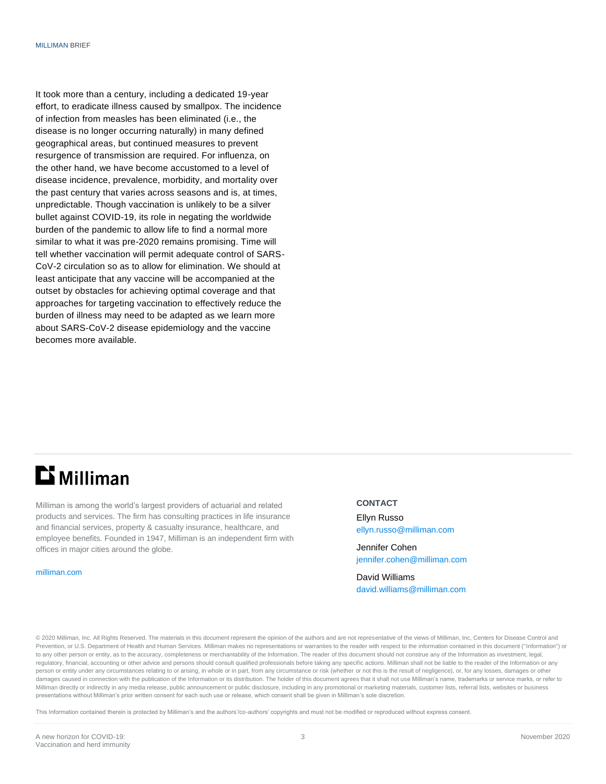It took more than a century, including a dedicated 19-year effort, to eradicate illness caused by smallpox. The incidence of infection from measles has been eliminated (i.e., the disease is no longer occurring naturally) in many defined geographical areas, but continued measures to prevent resurgence of transmission are required. For influenza, on the other hand, we have become accustomed to a level of disease incidence, prevalence, morbidity, and mortality over the past century that varies across seasons and is, at times, unpredictable. Though vaccination is unlikely to be a silver bullet against COVID-19, its role in negating the worldwide burden of the pandemic to allow life to find a normal more similar to what it was pre-2020 remains promising. Time will tell whether vaccination will permit adequate control of SARS-CoV-2 circulation so as to allow for elimination. We should at least anticipate that any vaccine will be accompanied at the outset by obstacles for achieving optimal coverage and that approaches for targeting vaccination to effectively reduce the burden of illness may need to be adapted as we learn more about SARS-CoV-2 disease epidemiology and the vaccine becomes more available.

## **Li** Milliman

Milliman is among the world's largest providers of actuarial and related products and services. The firm has consulting practices in life insurance and financial services, property & casualty insurance, healthcare, and employee benefits. Founded in 1947, Milliman is an independent firm with offices in major cities around the globe.

[milliman.com](http://www.milliman.com/)

### **CONTACT**

Ellyn Russo [ellyn.russo@milliman.com](mailto:ellyn.russo@milliman.com)

Jennifer Cohen [jennifer.cohen@milliman.com](mailto:jennifer.cohen@milliman.com)

David Williams [david.williams@milliman.com](mailto:david.williams@milliman.com)

© 2020 Milliman, Inc. All Rights Reserved. The materials in this document represent the opinion of the authors and are not representative of the views of Milliman, Inc, Centers for Disease Control and Prevention, or U.S. Department of Health and Human Services. Milliman makes no representations or warranties to the reader with respect to the information contained in this document ("Information") or to any other person or entity, as to the accuracy, completeness or merchantability of the Information. The reader of this document should not construe any of the Information as investment, legal, regulatory, financial, accounting or other advice and persons should consult qualified professionals before taking any specific actions. Milliman shall not be liable to the reader of the Information or any person or entity under any circumstances relating to or arising, in whole or in part, from any circumstance or risk (whether or not this is the result of negligence), or, for any losses, damages or other damages caused in connection with the publication of the Information or its distribution. The holder of this document agrees that it shall not use Milliman's name, trademarks or service marks, or refer to Milliman directly or indirectly in any media release, public announcement or public disclosure, including in any promotional or marketing materials, customer lists, referral lists, websites or business presentations without Milliman's prior written consent for each such use or release, which consent shall be given in Milliman's sole discretion.

This Information contained therein is protected by Milliman's and the authors'/co-authors' copyrights and must not be modified or reproduced without express consent.